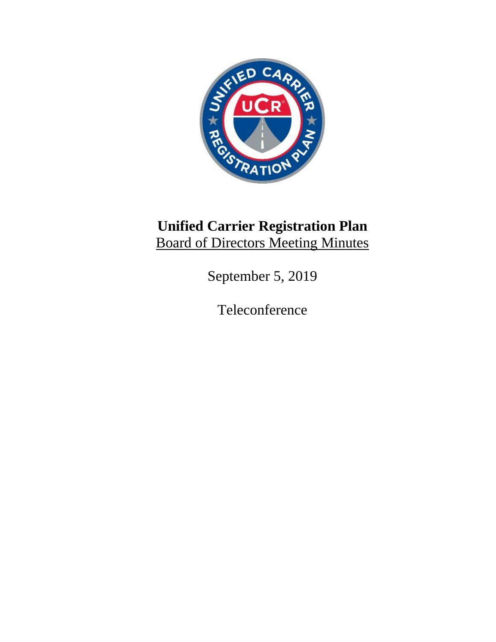

# **Unified Carrier Registration Plan** Board of Directors Meeting Minutes

September 5, 2019

Teleconference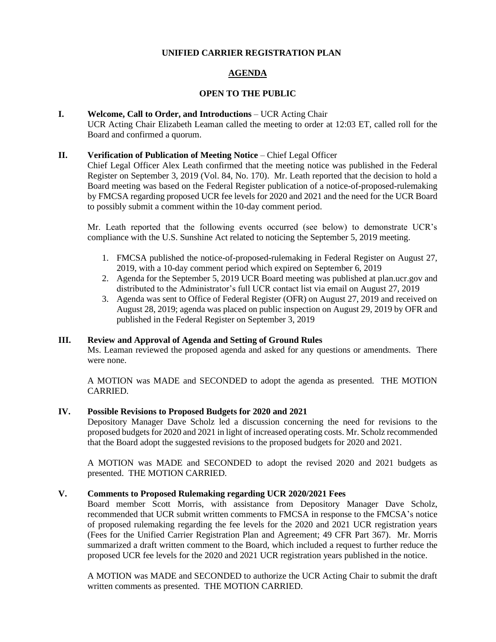#### **UNIFIED CARRIER REGISTRATION PLAN**

## **AGENDA**

### **OPEN TO THE PUBLIC**

#### **I. Welcome, Call to Order, and Introductions** – UCR Acting Chair

UCR Acting Chair Elizabeth Leaman called the meeting to order at 12:03 ET, called roll for the Board and confirmed a quorum.

#### **II. Verification of Publication of Meeting Notice** – Chief Legal Officer

Chief Legal Officer Alex Leath confirmed that the meeting notice was published in the Federal Register on September 3, 2019 (Vol. 84, No. 170). Mr. Leath reported that the decision to hold a Board meeting was based on the Federal Register publication of a notice-of-proposed-rulemaking by FMCSA regarding proposed UCR fee levels for 2020 and 2021 and the need for the UCR Board to possibly submit a comment within the 10-day comment period.

Mr. Leath reported that the following events occurred (see below) to demonstrate UCR's compliance with the U.S. Sunshine Act related to noticing the September 5, 2019 meeting.

- 1. FMCSA published the notice-of-proposed-rulemaking in Federal Register on August 27, 2019, with a 10-day comment period which expired on September 6, 2019
- 2. Agenda for the September 5, 2019 UCR Board meeting was published at plan.ucr.gov and distributed to the Administrator's full UCR contact list via email on August 27, 2019
- 3. Agenda was sent to Office of Federal Register (OFR) on August 27, 2019 and received on August 28, 2019; agenda was placed on public inspection on August 29, 2019 by OFR and published in the Federal Register on September 3, 2019

#### **III. Review and Approval of Agenda and Setting of Ground Rules**

Ms. Leaman reviewed the proposed agenda and asked for any questions or amendments. There were none.

A MOTION was MADE and SECONDED to adopt the agenda as presented. THE MOTION CARRIED.

#### **IV. Possible Revisions to Proposed Budgets for 2020 and 2021**

Depository Manager Dave Scholz led a discussion concerning the need for revisions to the proposed budgets for 2020 and 2021 in light of increased operating costs. Mr. Scholz recommended that the Board adopt the suggested revisions to the proposed budgets for 2020 and 2021.

A MOTION was MADE and SECONDED to adopt the revised 2020 and 2021 budgets as presented. THE MOTION CARRIED.

#### **V. Comments to Proposed Rulemaking regarding UCR 2020/2021 Fees**

Board member Scott Morris, with assistance from Depository Manager Dave Scholz, recommended that UCR submit written comments to FMCSA in response to the FMCSA's notice of proposed rulemaking regarding the fee levels for the 2020 and 2021 UCR registration years (Fees for the Unified Carrier Registration Plan and Agreement; 49 CFR Part 367). Mr. Morris summarized a draft written comment to the Board, which included a request to further reduce the proposed UCR fee levels for the 2020 and 2021 UCR registration years published in the notice.

A MOTION was MADE and SECONDED to authorize the UCR Acting Chair to submit the draft written comments as presented. THE MOTION CARRIED.